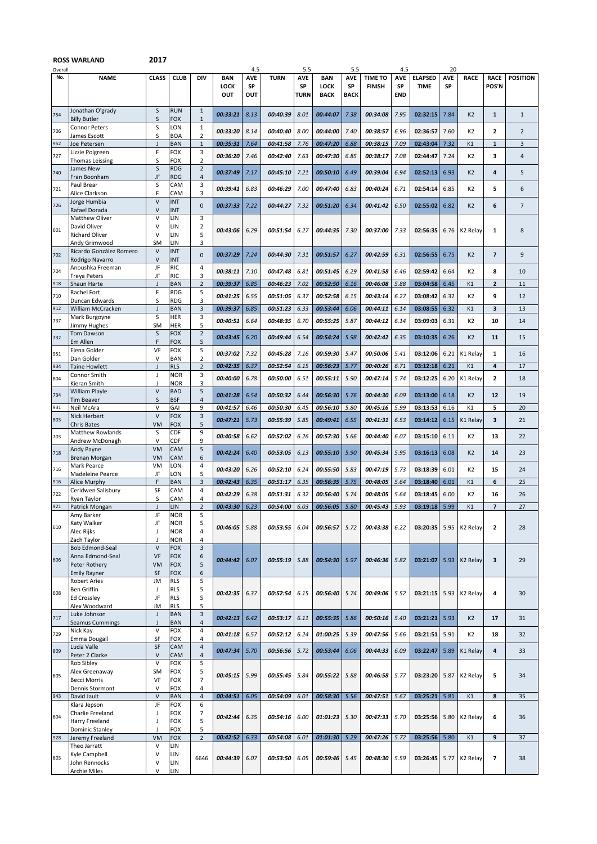## **ROSS WARLAND**

**2017**

| Overall |                                            |                                    |                          |                                |                           | 4.5                     |             | 5.5                      |                                          | 5.5                             |                                 | 4.5                            |                               | 20               |                      |                          |                 |
|---------|--------------------------------------------|------------------------------------|--------------------------|--------------------------------|---------------------------|-------------------------|-------------|--------------------------|------------------------------------------|---------------------------------|---------------------------------|--------------------------------|-------------------------------|------------------|----------------------|--------------------------|-----------------|
| No.     | <b>NAME</b>                                | <b>CLASS</b>                       | <b>CLUB</b>              | <b>DIV</b>                     | <b>BAN</b><br>LOCK<br>OUT | <b>AVE</b><br>SP<br>OUT | <b>TURN</b> | <b>AVE</b><br>SP<br>TURN | <b>BAN</b><br><b>LOCK</b><br><b>BACK</b> | <b>AVE</b><br>SP<br><b>BACK</b> | <b>TIME TO</b><br><b>FINISH</b> | <b>AVE</b><br>SP<br><b>END</b> | <b>ELAPSED</b><br><b>TIME</b> | <b>AVE</b><br>SP | <b>RACE</b>          | <b>RACE</b><br>POS'N     | <b>POSITION</b> |
| 754     | Jonathan O'grady<br><b>Billy Butler</b>    | S<br>S                             | <b>RUN</b><br>FOX        | $\mathbf{1}$<br>$\mathbf{1}$   | 00:33:21                  | 8.13                    | 00:40:39    | 8.01                     | 00:44:07                                 | 7.38                            | 00:34:08                        | 7.95                           | 02:32:15                      | 7.84             | K <sub>2</sub>       | $\mathbf{1}$             | $\mathbf{1}$    |
| 706     | Connor Peters                              | S                                  | _ON<br><b>BOA</b>        | $\mathbf{1}$<br>$\overline{2}$ | 00:33:20                  | 8.14                    | 00:40:40    | 8.00                     | 00:44:00                                 | 7.40                            | 00:38:57                        | 6.96                           | 02:36:57                      | 7.60             | K2                   | $\mathbf{z}$             | $\overline{2}$  |
| 952     | James Escott<br>Joe Petersen               | S<br>$\mathbf{J}$                  | <b>BAN</b>               | $\mathbf 1$                    | 00:35:31                  | 7.64                    | 00:41:58    | 7.76                     | 00:47:20                                 | 6.88                            | 00:38:15                        | 7.09                           | 02:43:04                      | 7.32             | K1                   | $\mathbf 1$              | 3               |
| 727     | Lizzie Polgreen                            | F                                  | FOX                      | 3                              | 00:36:20                  | 7.46                    | 00:42:40    | 7.63                     | <i><b>00:47:30</b></i>                   | 6.85                            | 00:38:17                        | 7.08                           | 02:44:47                      | 7.24             | K <sub>2</sub>       | 3                        | 4               |
|         | Thomas Leissing                            | S                                  | FOX                      | $\overline{2}$                 |                           |                         |             |                          |                                          |                                 |                                 |                                |                               |                  |                      |                          |                 |
| 740     | James New<br>Fran Boonham                  | S<br>JF                            | <b>RDG</b><br><b>RDG</b> | $\overline{2}$<br>4            | 00:37:49                  | 7.17                    | 00:45:10    | 7.21                     | <i><b>00:50:10</b></i>                   | 6.49                            | 00:39:04                        | 6.94                           | 02:52:13                      | 6.93             | K <sub>2</sub>       | 4                        | 5               |
| 721     | Paul Brear                                 | S                                  | CAM                      | 3                              |                           | 6.83                    | 00:46:29    | 7.00                     | 00:47:40                                 | 6.83                            | 00:40:24                        | 6.71                           | 02:54:14                      | 6.85             | K2                   | 5                        | 6               |
|         | Alice Clarkson                             | F                                  | CAM                      | 3                              | 00:39:41                  |                         |             |                          |                                          |                                 |                                 |                                |                               |                  |                      |                          |                 |
| 726     | Jorge Humbia<br>Rafael Dorada              | $\vee$<br>V                        | <b>INT</b><br><b>INT</b> | $\mathbf{0}$                   | 00:37:33                  | 7.22                    | 00:44:27    | 7.32                     | 00:51:20                                 | 6.34                            | 00:41:42                        | 6.50                           | 02:55:02                      | 6.82             | K <sub>2</sub>       | 6                        | $\overline{7}$  |
|         | <b>Matthew Oliver</b>                      | V                                  | LIN                      | 3                              |                           |                         |             |                          |                                          |                                 |                                 |                                |                               |                  |                      |                          |                 |
| 601     | David Oliver                               | V<br>v                             | LIN                      | $\overline{2}$<br>5            | 00:43:06                  | 6.29                    | 00:51:54    | 6.27                     | 00:44:35                                 | 7.30                            | 00:37:00                        | 7.33                           | 02:56:35                      | 6.76             | K2 Relay             | 1                        | 8               |
|         | <b>Richard Oliver</b><br>Andy Grimwood     | <b>SM</b>                          | LIN<br>LIN               | 3                              |                           |                         |             |                          |                                          |                                 |                                 |                                |                               |                  |                      |                          |                 |
| 702     | Ricardo González Romero                    | V                                  | <b>INT</b>               | $\mathbf{0}$                   | 00:37:29                  | 7.24                    | 00:44:30    | 7.31                     | 00:51:57                                 | 6.27                            | 00:42:59                        | 6.31                           | 02:56:55                      | 6.75             | K <sub>2</sub>       | $\overline{\phantom{a}}$ | 9               |
|         | Rodrigo Navarro<br>Anoushka Freeman        | $\sf V$<br>JF                      | INT<br>RIC               | 4                              |                           |                         |             |                          |                                          |                                 |                                 |                                |                               |                  |                      |                          |                 |
| 704     | Freya Peters                               | JF                                 | <b>RIC</b>               | 3                              | 00:38:11                  | 7.10                    | 00:47:48    | 6.81                     | 00:51:45                                 | 6.29                            | 00:41:58                        | 6.46                           | 02:59:42                      | 6.64             | K2                   | 8                        | 10              |
| 918     | Shaun Harte                                | J                                  | BAN                      | $\overline{2}$                 | 00:39:37                  | 6.85                    | 00:46:23    | 7.02                     | 00:52:50                                 | 6.16                            | 00:46:08                        | 5.88                           | 03:04:58                      | 6.45             | K1                   | $\mathbf{z}$             | 11              |
| 710     | Rachel Fort<br>Duncan Edwards              | F<br>S                             | <b>RDG</b><br>RDG        | 5<br>3                         | 00:41:25                  | 6.55                    | 00:51:05    | 6.37                     | 00:52:58                                 | 6.15                            | 00:43:14                        | 6.27                           | 03:08:42                      | 6.32             | K2                   | 9                        | 12              |
| 912     | William McCracken                          | $\overline{1}$                     | BAN                      | $\overline{3}$                 | 00:39:37                  | 6.85                    | 00:51:23    | 6.33                     | 00:53:44                                 | 6.06                            | 00:44:11                        | 6.14                           | 03:08:55                      | 6.32             | K1                   | 3                        | 13              |
| 737     | Mark Burgoyne                              | s                                  | HER                      | 3                              | 00:40:51                  | 6.64                    | 00:48:35    | 6.70                     | 00:55:25                                 | 5.87                            | 00:44:12                        | 6.14                           | 03:09:03                      | 6.31             | K <sub>2</sub>       | 10                       | 14              |
|         | Jimmy Hughes<br><b>Tom Dawson</b>          | SM<br>S                            | HER<br><b>FOX</b>        | 5<br>$\overline{2}$            |                           |                         |             |                          |                                          |                                 |                                 |                                |                               |                  |                      |                          |                 |
| 732     | Em Allen                                   | F                                  | FOX                      | 5                              | 00:43:45                  | 6.20                    | 00:49:44    | 6.54                     | 00:54:24                                 | 5.98                            | 00:42:42                        | 6.35                           | 03:10:35                      | 6.26             | K <sub>2</sub>       | 11                       | 15              |
| 951     | Elena Golder                               | VF<br>V                            | FOX<br><b>BAN</b>        | 5<br>$\overline{2}$            | 00:37:02                  | 7.32                    | 00:45:28    | 7.16                     | 00:59:30                                 | 5.47                            | 00:50:06                        | 5.41                           | 03:12:06                      | 6.21             | K1 Relay             | 1                        | 16              |
| 934     | Dan Golder<br><b>Taine Howlett</b>         | $\mathbf{J}$                       | <b>RLS</b>               | $\sqrt{2}$                     | 00:42:35                  | 6.37                    | 00:52:54    | 6.15                     | 00:56:23                                 | 5.77                            | 00:40:26                        | 6.71                           | 03:12:18                      | 6.21             | K1                   | 4                        | 17              |
| 804     | Connor Smith                               | J                                  | NOR                      | 3                              | 00:40:00                  | 6.78                    | 00:50:00    | 6.51                     | 00:55:11                                 | 5.90                            | 00:47:14                        | 5.74                           | 03:12:25                      | 6.20             | K1 Relay             | $\overline{2}$           | 18              |
|         | Kieran Smith<br>William Playle             | $\vee$                             | NOR<br><b>BAD</b>        | 3<br>5                         |                           |                         |             |                          |                                          |                                 |                                 |                                |                               |                  |                      |                          |                 |
| 734     | Tim Beaver                                 | S                                  | BSF                      | $\overline{4}$                 | 00:41:28                  | 6.54                    | 00:50:32    | 6.44                     | 00:56:30                                 | 5.76                            | 00:44:30                        | 6.09                           | 03:13:00                      | 6.18             | K <sub>2</sub>       | 12                       | 19              |
| 931     | Neil McAra                                 | V                                  | GAI                      | 9                              | 00:41:57                  | 6.46                    | 00:50:30    | 6.45                     | 00:56:10                                 | 5.80                            | 00:45:16                        | 5.99                           | 03:13:53                      | 6.16             | K1                   | 5                        | 20              |
| 803     | <b>Nick Herbert</b><br>Chris Bates         | V<br><b>VM</b>                     | FOX<br>FOX               | 3<br>5                         | 00:47:21                  | 5.73                    | 00:55:39    | 5.85                     | 00:49:41                                 | 6.55                            | 00:41:31                        | 6.53                           | 03:14:12                      | 6.15             | K1 Relay             | 3                        | 21              |
| 703     | <b>Matthew Rowlands</b>                    | S                                  | CDF                      | 9                              | 00:40:58                  | 6.62                    | 00:52:02    | 6.26                     | 00:57:30                                 | 5.66                            | 00:44:40                        | 6.07                           | 03:15:10                      | 6.11             | K2                   | 13                       | 22              |
|         | Andrew McDonagh                            | V                                  | CDF                      | 9<br>5                         |                           |                         |             |                          |                                          |                                 |                                 |                                |                               |                  |                      |                          |                 |
| 718     | Andy Payne<br>Brenan Morgan                | <b>VM</b><br><b>VM</b>             | CAM<br>CAM               | 6                              | 00:42:24                  | 6.40                    | 00:53:05    | 6.13                     | 00:55:10                                 | 5.90                            | 00:45:34                        | 5.95                           | 03:16:13                      | 6.08             | K <sub>2</sub>       | 14                       | 23              |
| 716     | Mark Pearce                                | <b>VM</b>                          | LON                      | 4                              | 00:43:20                  | 6.26                    | 00:52:10    | 6.24                     | 00:55:50                                 | 5.83                            | 00:47:19                        | 5.73                           | 03:18:39                      | 6.01             | K2                   | 15                       | 24              |
| 916     | Madeleine Pearce<br>Alice Murphy           | JF<br>F                            | _ON<br>BAN               | 5<br>$\overline{\mathbf{3}}$   | 00:42:43                  | 6.35                    | 00:51:17    | 6.35                     | 00:56:35                                 | 5.75                            | 00:48:05                        | 5.64                           | 03:18:40                      | 6.01             | K1                   | 6                        | 25              |
| 722     | Ceridwen Salisbury                         | SF                                 | CAM                      | 4                              | 00:42:29                  | 6.38                    | 00:51:31    | 6.32                     | <i><b>00:56:40</b></i>                   | 5.74                            | 00:48:05                        | 5.64                           | 03:18:45                      | 6.00             | K2                   | 16                       | 26              |
|         | Ryan Taylor                                | S                                  | CAM                      | 4                              |                           |                         |             |                          |                                          |                                 |                                 |                                |                               |                  |                      |                          |                 |
| 921     | Patrick Mongan<br>Amy Barker               | $\overline{1}$<br>JF               | LIN<br><b>NOR</b>        | $\overline{2}$<br>5            | 00:43:30                  | 6.23                    | 00:54:00    | 6.03                     | 00:56:05                                 | 5.80                            | 00:45:43                        | 5.93                           | 03:19:18                      | 5.99             | K1                   | $\overline{7}$           | 27              |
| 610     | Katy Walker                                | JF                                 | <b>NOR</b>               | 5                              | 00:46:05                  | 5.88                    | 00:53:55    | 6.04                     | 00:56:57                                 | 5.72                            | 00:43:38                        | 6.22                           | 03:20:35                      | 5.95             | K <sub>2</sub> Relay | 2                        | 28              |
|         | Alec Rijks                                 | J                                  | <b>NOR</b>               | 4                              |                           |                         |             |                          |                                          |                                 |                                 |                                |                               |                  |                      |                          |                 |
|         | Zach Taylor<br><b>Bob Edmond-Seal</b>      | $\overline{\phantom{a}}$<br>$\vee$ | <b>NOR</b><br><b>FOX</b> | 4<br>$\overline{\mathbf{3}}$   |                           |                         |             |                          |                                          |                                 |                                 |                                |                               |                  |                      |                          |                 |
| 606     | Anna Edmond-Seal                           | VF                                 | <b>FOX</b>               | 6                              | 00:44:42                  | 6.07                    | 00:55:19    | 5.88                     | 00:54:30                                 | 5.97                            | 00:46:36                        | 5.82                           | 03:21:07                      | 5.93             | K <sub>2</sub> Relay | 3                        | 29              |
|         | Peter Rothery                              | <b>VM</b>                          | <b>FOX</b>               | 5                              |                           |                         |             |                          |                                          |                                 |                                 |                                |                               |                  |                      |                          |                 |
|         | <b>Emily Rayner</b><br><b>Robert Aries</b> | SF<br>JM                           | <b>FOX</b><br><b>RLS</b> | 6<br>5                         |                           |                         |             |                          |                                          |                                 |                                 |                                |                               |                  |                      |                          |                 |
| 608     | <b>Ben Griffin</b>                         | J                                  | <b>RLS</b>               | 5                              | 00:42:35                  | 6.37                    | 00:52:54    | 6.15                     | 00:56:40                                 | 5.74                            | 00:49:06                        | 5.52                           | 03:21:15                      | 5.93             | K <sub>2</sub> Relay | 4                        | 30              |
|         | <b>Ed Crossley</b><br>Alex Woodward        | JF                                 | <b>RLS</b>               | 5                              |                           |                         |             |                          |                                          |                                 |                                 |                                |                               |                  |                      |                          |                 |
|         | Luke Johnson                               | JM<br>$\mathsf J$                  | <b>RLS</b><br><b>BAN</b> | 5<br>$\overline{\mathbf{3}}$   |                           |                         |             |                          |                                          |                                 |                                 |                                |                               |                  |                      |                          |                 |
| 717     | Seamus Cummings                            | J                                  | <b>BAN</b>               | 4                              | 00:42:13                  | 6.42                    | 00:53:17    | 6.11                     | 00:55:35                                 | 5.86                            | 00:50:16                        | 5.40                           | 03:21:21                      | 5.93             | K <sub>2</sub>       | 17                       | 31              |
| 729     | Nick Kay<br>Emma Dougall                   | $\vee$<br>SF                       | <b>FOX</b><br>FOX        | $\overline{4}$<br>4            | 00:41:18                  | 6.57                    | 00:52:12    | 6.24                     | 01:00:25                                 | 5.39                            | 00:47:56                        | 5.66                           | 03:21:51                      | 5.91             | K <sub>2</sub>       | 18                       | 32              |
|         | Lucia Valle                                | SF                                 | CAM                      | $\overline{4}$                 | 00:47:34                  |                         |             |                          | 00:53:44                                 |                                 |                                 |                                |                               |                  |                      |                          |                 |
| 809     | Peter 2 Clarke                             | V                                  | CAM                      | 4                              |                           | 5.70                    | 00:56:56    | 5.72                     |                                          | 6.06                            | 00:44:33                        | 6.09                           | 03:22:47                      | 5.89             | K1 Relay             | 4                        | 33              |
|         | Rob Sibley<br>Alex Greenaway               | v<br><b>SM</b>                     | FOX<br><b>FOX</b>        | 5<br>5                         |                           |                         |             |                          |                                          |                                 |                                 |                                |                               |                  |                      |                          |                 |
| 605     | <b>Becci Morris</b>                        | VF                                 | <b>FOX</b>               | $\overline{7}$                 | 00:45:15                  | 5.99                    | 00:55:45    | 5.84                     | 00:55:22                                 | 5.88                            | 00:46:58                        | 5.77                           | 03:23:20                      | 5.87             | K <sub>2</sub> Relay | 5                        | 34              |
|         | Dennis Stormont                            | V                                  | FOX                      | 4                              |                           |                         |             |                          |                                          |                                 |                                 |                                |                               |                  |                      |                          |                 |
| 943     | David Jault<br>Klara Jepson                | $\vee$<br>JF                       | <b>BAN</b><br>FOX        | $\overline{4}$<br>6            | 00:44:51                  | 6.05                    | 00:54:09    | 6.01                     | 00:58:30                                 | 5.56                            | 00:47:51                        | 5.67                           | 03:25:21                      | 5.81             | K1                   | 8                        | 35              |
| 604     | Charlie Freeland                           | J                                  | <b>FOX</b>               | 7                              | 00:42:44                  | 6.35                    | 00:54:16    | 6.00                     | 01:01:23                                 | 5.30                            | 00:47:33                        | 5.70                           | 03:25:56                      | 5.80             | K <sub>2</sub> Relay | 6                        | 36              |
|         | Harry Freeland                             | J                                  | <b>FOX</b>               | 5                              |                           |                         |             |                          |                                          |                                 |                                 |                                |                               |                  |                      |                          |                 |
| 928     | Dominic Stanley<br>Jeremy Freeland         | J<br><b>VM</b>                     | FOX<br>FOX               | 5<br>$\overline{2}$            | 00:42:52                  | 6.33                    | 00:54:08    | 6.01                     | 01:01:30                                 | 5.29                            | 00:47:26                        | 5.72                           | 03:25:56                      | 5.80             | K1                   | 9                        | 37              |
|         | Theo Jarratt                               | V                                  | LIN                      |                                |                           |                         |             |                          |                                          |                                 |                                 |                                |                               |                  |                      |                          |                 |
| 603     | Kyle Campbell                              | V                                  | LIN                      | 6646                           | 00:44:39                  | 6.07                    | 00:53:50    | 6.05                     | 00:59:46                                 | 5.45                            | 00:48:30                        | 5.59                           | 03:26:45                      | 5.77             | K <sub>2</sub> Relay | 7                        | 38              |
|         | John Rennocks<br><b>Archie Miles</b>       | V<br>V                             | LIN<br>LIN               |                                |                           |                         |             |                          |                                          |                                 |                                 |                                |                               |                  |                      |                          |                 |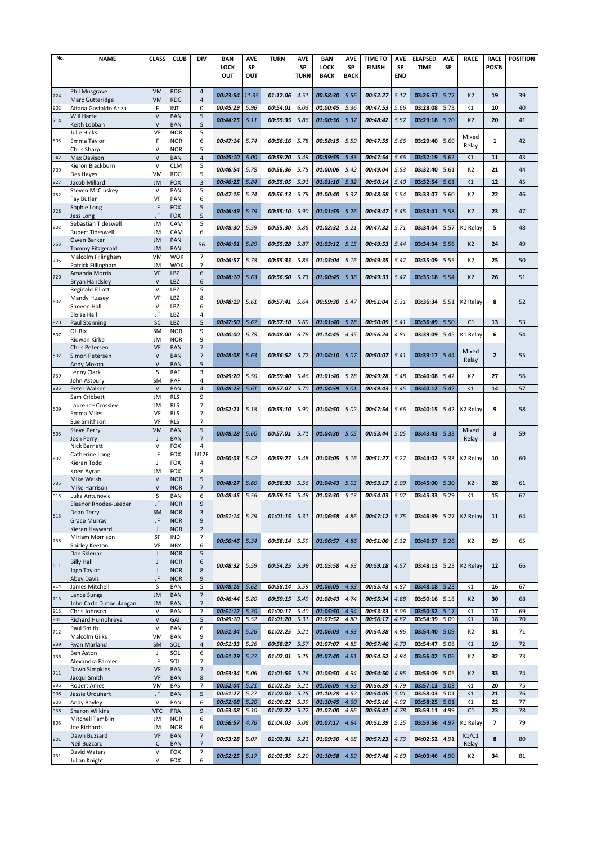| No. | <b>NAME</b>                       | <b>CLASS</b> | <b>CLUB</b>              | DIV                      | <b>BAN</b> | <b>AVE</b> | <b>TURN</b>            | <b>AVE</b> | <b>BAN</b>  | <b>AVE</b>  | <b>TIME TO</b> | <b>AVE</b> | <b>ELAPSED</b> | <b>AVE</b> | <b>RACE</b>          | <b>RACE</b>              | <b>POSITION</b> |
|-----|-----------------------------------|--------------|--------------------------|--------------------------|------------|------------|------------------------|------------|-------------|-------------|----------------|------------|----------------|------------|----------------------|--------------------------|-----------------|
|     |                                   |              |                          |                          | LOCK       | SP         |                        | SP         | LOCK        | SP          | <b>FINISH</b>  | SP         | <b>TIME</b>    | SP         |                      | <b>POS'N</b>             |                 |
|     |                                   |              |                          |                          | <b>OUT</b> | OUT        |                        | TURN       | <b>BACK</b> | <b>BACK</b> |                | <b>END</b> |                |            |                      |                          |                 |
|     |                                   |              |                          |                          |            |            |                        |            |             |             |                |            |                |            |                      |                          |                 |
| 724 | Phil Musgrave                     | VM           | <b>RDG</b>               | 4                        | 00:23:54   | 11.35      | 01:12:06               | 4.51       | 00:58:30    | 5.56        | 00:52:27       | 5.17       | 03:26:57       | 5.77       | K <sub>2</sub>       | 19                       | 39              |
|     | Marc Gutteridge                   | <b>VM</b>    | <b>RDG</b>               | $\overline{4}$           |            |            |                        |            |             |             |                |            |                |            |                      |                          |                 |
| 902 | Aitana Gastaldo Ariza             | F            | INT                      | 0                        | 00:45:29   | 5.96       | 00:54:01               | 6.03       | 01:00:45    | 5.36        | 00:47:53       | 5.66       | 03:28:08       | 5.73       | K1                   | 10                       | 40              |
| 714 | Will Harte                        | $\vee$       | <b>BAN</b>               | 5                        | 00:44:25   | 6.11       | 00:55:35               | 5.86       | 01:00:36    | 5.37        | 00:48:42       | 5.57       | 03:29:18       | 5.70       | K <sub>2</sub>       | 20                       | 41              |
|     | Keith Lobban                      | $\vee$       | <b>BAN</b>               | 5                        |            |            |                        |            |             |             |                |            |                |            |                      |                          |                 |
|     | Julie Hicks                       | VF           | <b>NOR</b>               | 5                        |            |            |                        |            |             |             |                |            |                |            | Mixed                |                          |                 |
| 505 | Emma Taylor                       | F            | <b>NOR</b>               | 6                        | 00:47:14   | 5.74       | 00:56:16               | 5.78       | 00:58:15    | 5.59        | 00:47:55       | 5.66       | 03:29:40       | 5.69       | Relay                | 1                        | 42              |
|     | Chris Sharp                       | $\vee$       | <b>NOR</b>               | 5                        |            |            |                        |            |             |             |                |            |                |            |                      |                          |                 |
| 942 | Max Davison                       | $\vee$       | <b>BAN</b>               | $\overline{4}$           | 00:45:10   | 6.00       | 00:59:20               | 5.49       | 00:59:55    | 5.43        | 00:47:54       | 5.66       | 03:32:19       | 5.62       | K1                   | 11                       | 43              |
| 709 | Kieron Blackburn                  | $\vee$       | <b>CLM</b>               | 5                        | 00:46:54   | 5.78       | <i><b>00:56:36</b></i> | 5.75       | 01:00:06    | 5.42        | 00:49:04       | 5.53       | 03:32:40       | 5.61       | K <sub>2</sub>       | 21                       | 44              |
|     | Des Hayes                         | VM           | <b>RDG</b>               | 5                        |            |            |                        |            |             |             |                |            |                |            |                      | 12                       |                 |
| 927 | Jacob Millard                     | <b>JM</b>    | <b>FOX</b>               | 3                        | 00:46:25   | 5.84       | 00:55:05               | 5.91       | 01:01:10    | 5.32        | 00:50:14       | 5.40       | 03:32:54       | 5.61       | K1                   |                          | 45              |
| 752 | Steven McCluskey                  | $\vee$       | PAN                      | 5                        | 00:47:16   | 5.74       | 00:56:13               | 5.79       | 01:00:40    | 5.37        | 00:48:58       | 5.54       | 03:33:07       | 5.60       | K <sub>2</sub>       | 22                       | 46              |
|     | Fay Butler<br>Sophie Long         | VF<br>JF     | PAN<br><b>FOX</b>        | 6<br>5                   |            |            |                        |            |             |             |                |            |                |            |                      |                          |                 |
| 728 | Jess Long                         | JF           | <b>FOX</b>               | 5                        | 00:46:49   | 5.79       | 00:55:10               | 5.90       | 01:01:55    | 5.26        | 00:49:47       | 5.45       | 03:33:41       | 5.58       | K <sub>2</sub>       | 23                       | 47              |
|     | Sebastian Tideswell               | <b>JM</b>    | CAM                      | 5                        |            |            |                        |            |             |             |                |            |                |            |                      |                          |                 |
| 802 | <b>Rupert Tideswell</b>           | JM           | CAM                      | 6                        | 00:48:30   | 5.59       | <i><b>00:55:30</b></i> | 5.86       | 01:02:32    | 5.21        | 00:47:32       | 5.71       | 03:34:04       | 5.57       | K1 Relay             | 5                        | 48              |
|     | Owen Barker                       | <b>JM</b>    | PAN                      |                          |            |            |                        |            |             |             |                |            |                |            |                      |                          |                 |
| 753 | <b>Tommy Fitzgerald</b>           | <b>JM</b>    | PAN                      | 56                       | 00:46:01   | 5.89       | 00:55:28               | 5.87       | 01:03:12    | 5.15        | 00:49:53       | 5.44       | 03:34:34       | 5.56       | K <sub>2</sub>       | 24                       | 49              |
|     | Malcolm Fillingham                | VM           | <b>WOK</b>               | $\overline{7}$           |            |            |                        |            |             |             |                |            |                |            |                      |                          |                 |
| 705 | Patrick Fillingham                | JM           | <b>WOK</b>               | $\overline{7}$           | 00:46:57   | 5.78       | 00:55:33               | 5.86       | 01:03:04    | 5.16        | 00:49:35       | 5.47       | 03:35:09       | 5.55       | K <sub>2</sub>       | 25                       | 50              |
|     | Amanda Morris                     | VF           | LBZ                      | 6                        |            |            |                        |            |             |             |                |            |                |            |                      |                          |                 |
| 720 | <b>Bryan Handsley</b>             | $\vee$       | <b>BZ</b>                | 6                        | 00:48:10   | 5.63       | <i><b>00:56:50</b></i> | 5.73       | 01:00:45    | 5.36        | 00:49:33       | 5.47       | 03:35:18       | 5.54       | K <sub>2</sub>       | 26                       | 51              |
|     | <b>Reginald Elliott</b>           | $\vee$       | LBZ                      | 5                        |            |            |                        |            |             |             |                |            |                |            |                      |                          |                 |
| 602 | Mandy Hussey                      | VF           | LBZ                      | 8                        |            |            |                        |            |             |             |                |            |                |            | K <sub>2</sub> Relav |                          |                 |
|     | Simeon Hall                       | V            | LBZ                      | 6                        | 00:48:19   | 5.61       | 00:57:41               | 5.64       | 00:59:30    | 5.47        | 00:51:04       | 5.31       | 03:36:34       | 5.51       |                      | 8                        | 52              |
|     | Eloise Hall                       | JF           | LBZ                      | 4                        |            |            |                        |            |             |             |                |            |                |            |                      |                          |                 |
| 920 | <b>Paul Stenning</b>              | SC           | LBZ                      | 5                        | 00:47:50   | 5.67       | 00:57:10               | 5.69       | 01:01:40    | 5.28        | 00:50:09       | 5.41       | 03:36:49       | 5.50       | C <sub>1</sub>       | 13                       | 53              |
| 807 | Oli Rix                           | <b>SM</b>    | <b>NOR</b>               | 9                        | 00:40:00   | 6.78       | 00:48:00               | 6.78       | 01:14:45    | 4.35        | 00:56:24       | 4.81       | 03:39:09       | 5.45       | K1 Relay             | 6                        | 54              |
|     | Ridwan Kirke                      | JM           | <b>NOR</b>               | 9                        |            |            |                        |            |             |             |                |            |                |            |                      |                          |                 |
|     | Chris Petersen                    | VF           | <b>BAN</b>               | $\overline{7}$           |            |            |                        |            |             |             |                |            |                |            | Mixed                |                          |                 |
| 502 | Simon Petersen                    | $\vee$       | <b>BAN</b>               | $\overline{7}$           | 00:48:08   | 5.63       | 00:56:52               | 5.72       | 01:04:10    | 5.07        | 00:50:07       | 5.41       | 03:39:17       | 5.44       | Relay                | $\overline{2}$           | 55              |
|     | Andy Moxon                        | $\vee$       | <b>BAN</b>               | 5                        |            |            |                        |            |             |             |                |            |                |            |                      |                          |                 |
| 739 | Lenny Clark                       | S            | RAF                      | 3                        | 00:49:20   | 5.50       | 00:59:40               | 5.46       | 01:01:40    | 5.28        | 00:49:28       | 5.48       | 03:40:08       | 5.42       | K <sub>2</sub>       | 27                       | 56              |
|     | John Astbury                      | <b>SM</b>    | RAF                      | 4                        |            |            |                        |            |             |             |                |            |                |            |                      |                          |                 |
| 935 | Peter Walker                      | $\vee$       | PAN                      | $\overline{4}$           | 00:48:23   | 5.61       | 00:57:07               | 5.70       | 01:04:59    | 5.01        | 00:49:43       | 5.45       | 03:40:12       | 5.42       | K1                   | 14                       | 57              |
|     | Sam Cribbett                      | <b>JM</b>    | <b>RLS</b>               | 9                        |            |            |                        |            |             |             |                |            |                |            |                      |                          |                 |
| 609 | Laurence Crossley                 | <b>JM</b>    | <b>RLS</b>               | $\overline{7}$           | 00:52:21   | 5.18       | 00:55:10               | 5.90       | 01:04:50    | 5.02        | 00:47:54       | 5.66       | 03:40:15       | 5.42       | K <sub>2</sub> Relay | 9                        | 58              |
|     | <b>Emma Miles</b>                 | VF           | <b>RLS</b>               | $\overline{7}$           |            |            |                        |            |             |             |                |            |                |            |                      |                          |                 |
|     | Sue Smithson                      | VF           | <b>RLS</b>               | 7                        |            |            |                        |            |             |             |                |            |                |            |                      |                          |                 |
| 503 | <b>Steve Perry</b>                | <b>VM</b>    | <b>BAN</b>               | 5                        | 00:48:28   | 5.60       | 00:57:01               | 5.71       | 01:04:30    | 5.05        | 00:53:44       | 5.05       | 03:43:43       | 5.33       | Mixed                | 3                        | 59              |
|     | Josh Perry                        | J            | <b>BAN</b>               | $\overline{7}$           |            |            |                        |            |             |             |                |            |                |            | Relay                |                          |                 |
|     | <b>Nick Barnett</b>               | $\vee$       | <b>FOX</b>               | 4                        |            |            |                        |            |             |             |                |            |                |            |                      |                          |                 |
| 607 | Catherine Long                    | JF           | <b>FOX</b>               | U12F                     | 00:50:03   | 5.42       | 00:59:27               | 5.48       | 01:03:05    | 5.16        | 00:51:27       | 5.27       | 03:44:02       | 5.33       | K <sub>2</sub> Relay | 10                       | 60              |
|     | Kieran Todd                       | J            | <b>FOX</b>               | $\overline{4}$           |            |            |                        |            |             |             |                |            |                |            |                      |                          |                 |
|     | Koen Ayran                        | JM           | FOX                      | 8                        |            |            |                        |            |             |             |                |            |                |            |                      |                          |                 |
| 735 | Mike Walsh                        | $\vee$       | <b>NOR</b>               | 5                        | 00:48:27   | 5.60       | 00:58:33               | 5.56       | 01:04:43    | 5.03        | 00:53:17       | 5.09       | 03:45:00       | 5.30       | K <sub>2</sub>       | 28                       | 61              |
| 915 | <b>Mike Harrison</b>              | $\vee$       | <b>NOR</b>               | $\overline{7}$           |            |            |                        |            |             |             |                |            |                |            |                      | 15                       |                 |
|     | Luka Antunovic                    | S            | BAN                      | 6                        | 00:48:45   | 5.56       | 00:59:15               | 5.49       | 01:03:30    | 5.13        | 00:54:03       | 5.02       | 03:45:33       | 5.29       | K1                   |                          | 62              |
|     | Eleanor Rhodes-Leedel             | JF           | NUK                      | У                        |            |            |                        |            |             |             |                |            |                |            |                      |                          |                 |
| 613 | Dean Terry<br><b>Grace Murray</b> | <b>SM</b>    | <b>NOR</b><br><b>NOR</b> | 3<br>9                   | 00:51:14   | 5.29       | $01:01:15$ 5.31        |            | 01:06:58    | 4.86        | 00:47:12       | 5.75       | 03:46:39       | 5.27       | K <sub>2</sub> Relay | 11                       | 64              |
|     | Kieran Hayward                    | JF<br>J      | <b>NOR</b>               | $\overline{2}$           |            |            |                        |            |             |             |                |            |                |            |                      |                          |                 |
|     | Miriam Morrison                   | SF           | IND                      | $\overline{7}$           |            |            |                        |            |             |             |                |            |                |            |                      |                          |                 |
| 738 | Shirley Keeton                    | VF           | <b>NBY</b>               | 6                        | 00:50:46   | 5.34       | 00:58:14               | 5.59       | 01:06:57    | 4.86        | 00:51:00       | 5.32       | 03:46:57       | 5.26       | K <sub>2</sub>       | 29                       | 65              |
|     | Dan Sklenar                       | $\mathsf J$  | <b>NOR</b>               | 5                        |            |            |                        |            |             |             |                |            |                |            |                      |                          |                 |
|     | <b>Billy Hall</b>                 | J            | <b>NOR</b>               | 6                        |            |            |                        |            |             |             |                |            |                |            |                      |                          |                 |
| 611 | Jago Taylor                       | J            | <b>NOR</b>               | 8                        | 00:48:32   | 5.59       | 00:54:25               | 5.98       | 01:05:58    | 4.93        | 00:59:18       | 4.57       | 03:48:13       | 5.23       | K <sub>2</sub> Relay | 12                       | 66              |
|     | <b>Abey Davis</b>                 | JF           | <b>NOR</b>               | 9                        |            |            |                        |            |             |             |                |            |                |            |                      |                          |                 |
| 914 | James Mitchell                    | S            | BAN                      | 5                        | 00:48:16   | 5.62       | 00:58:14               | 5.59       | 01:06:05    | 4.93        | 00:55:43       | 4.87       | 03:48:18       | 5.23       | K1                   | 16                       | 67              |
|     | Lance Sunga                       | <b>JM</b>    | <b>BAN</b>               | $\overline{7}$           |            |            |                        |            |             |             |                |            |                |            |                      |                          |                 |
| 713 | John Carlo Dimaculangan           | JM           | <b>BAN</b>               | 7                        | 00:46:44   | 5.80       | 00:59:15               | 5.49       | 01:08:43    | 4.74        | 00:55:34       | 4.88       | 03:50:16       | 5.18       | K <sub>2</sub>       | 30                       | 68              |
| 913 | Chris Johnson                     | $\vee$       | <b>BAN</b>               | $\overline{7}$           | 00:51:12   | 5.30       | 01:00:17               | 5.40       | 01:05:50    | 4.94        | 00:53:33       | 5.06       | 03:50:52       | 5.17       | K1                   | 17                       | 69              |
| 901 | <b>Richard Humphreys</b>          | $\vee$       | GAI                      | 5                        | 00:49:10   | 5.52       | 01:01:20               | 5.31       | 01:07:52    | 4.80        | 00:56:17       | 4.82       | 03:54:39       | 5.09       | K1                   | 18                       | 70              |
| 712 | Paul Smith                        | $\vee$       | <b>BAN</b>               | 6                        | 00:51:34   | 5.26       | 01:02:25               | 5.21       | 01:06:03    | 4.93        | 00:54:38       | 4.96       | 03:54:40       | 5.09       | K <sub>2</sub>       | 31                       | 71              |
|     | Malcolm Gilks                     | VM           | BAN                      | 9                        |            |            |                        |            |             |             |                |            |                |            |                      |                          |                 |
| 939 | Ryan Marland                      | <b>SM</b>    | SOL                      | $\overline{\mathbf{4}}$  | 00:51:33   | 5.26       | 00:58:27               | 5.57       | 01:07:07    | 4.85        | 00:57:40       | 4.70       | 03:54:47       | 5.08       | K1                   | 19                       | 72              |
| 736 | Ben Aston                         | J            | SOL                      | 6                        | 00:51:29   | 5.27       | 01:02:01               | 5.25       | 01:07:40    | 4.81        | 00:54:52       | 4.94       | 03:56:02       | 5.06       | K <sub>2</sub>       | 32                       | 73              |
|     | Alexandra Farmer                  | JF           | SOL                      | $\overline{7}$           |            |            |                        |            |             |             |                |            |                |            |                      |                          |                 |
| 711 | Dawn Simpkins                     | VF           | <b>BAN</b>               | $\overline{7}$           | 00:53:34   | 5.06       | 01:01:55               | 5.26       | 01:05:50    | 4.94        | 00:54:50       | 4.95       | 03:56:09       | 5.05       | K2                   | 33                       | 74              |
|     | Jacqui Smith                      | VF           | <b>BAN</b>               | 8                        |            |            |                        |            |             |             |                |            |                |            |                      |                          |                 |
| 936 | <b>Robert Ames</b>                | VM           | <b>BAS</b>               | 7                        | 00:52:04   | 5.21       | 01:02:25               | 5.21       | 01:06:05    | 4.93        | 00:56:39       | 4.79       | 03:57:13       | 5.03       | K1                   | 20                       | 75              |
| 908 | Jessie Urquhart                   | JF           | <b>BAN</b>               | 5                        | 00:51:27   | 5.27       | 01:02:03               | 5.25       | 01:10:28    | 4.62        | 00:54:05       | 5.01       | 03:58:03       | 5.01       | K1                   | 21                       | 76              |
| 903 | Andy Bayley                       | $\vee$       | PAN                      | 6                        | 00:52:08   | 5.20       | 01:00:22               | 5.39       | 01:10:45    | 4.60        | 00:55:10       | 4.92       | 03:58:25       | 5.01       | K1                   | 22                       | 77              |
| 938 | Sharon Wilkins                    | <b>VFC</b>   | PRA                      | 9                        | 00:53:08   | 5.10       | 01:02:22               | 5.22       | 01:07:00    | 4.86        | 00:56:41       | 4.78       | 03:59:11       | 4.99       | C1                   | 23                       | 78              |
| 805 | Mitchell Tamblin                  | JM           | <b>NOR</b>               | 6                        | 00:56:57   | 4.76       | 01:04:03               | 5.08       | 01:07:17    | 4.84        | 00:51:39       | 5.25       | 03:59:56       | 4.97       | K1 Relay             | $\overline{\phantom{a}}$ | 79              |
|     | Joe Richards                      | JM           | NOR                      | 6                        |            |            |                        |            |             |             |                |            |                |            |                      |                          |                 |
| 801 | Dawn Buzzard                      | VF           | <b>BAN</b>               | $\overline{7}$           | 00:53:28   | 5.07       | 01:02:31               | 5.21       | 01:09:30    | 4.68        | 00:57:23       | 4.73       | 04:02:52       | 4.91       | K1/C1                | 8                        | 80              |
|     | Neil Buzzard                      | $\mathsf C$  | <b>BAN</b>               | $\overline{7}$           |            |            |                        |            |             |             |                |            |                |            | Relay                |                          |                 |
| 731 | David Waters                      | $\vee$       | FOX                      | $\overline{\phantom{a}}$ | 00:52:25   | 5.17       | 01:02:35               | 5.20       | 01:10:58    | 4.59        | 00:57:48       | 4.69       | 04:03:46       | 4.90       | K <sub>2</sub>       | 34                       | 81              |
|     | Julian Knight                     | $\vee$       | <b>FOX</b>               | 6                        |            |            |                        |            |             |             |                |            |                |            |                      |                          |                 |